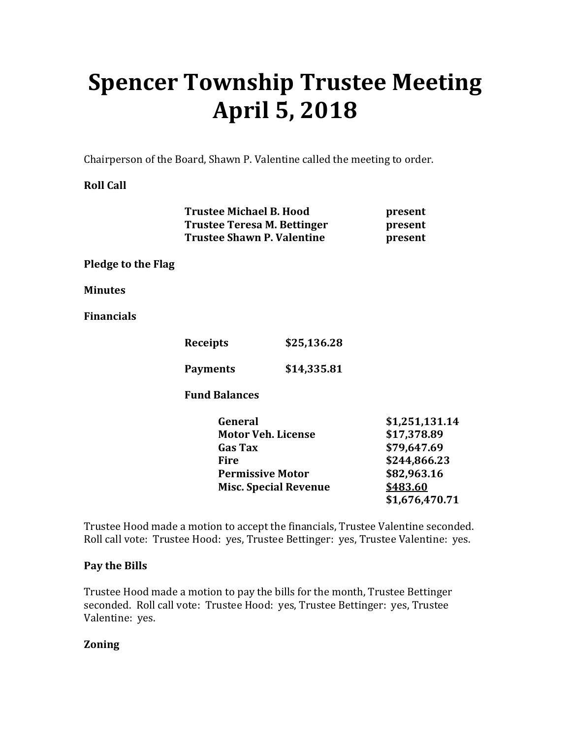# **Spencer Township Trustee Meeting April 5, 2018**

Chairperson of the Board, Shawn P. Valentine called the meeting to order.

**Roll Call** 

|                    | <b>Trustee Michael B. Hood</b><br><b>Trustee Teresa M. Bettinger</b><br><b>Trustee Shawn P. Valentine</b>                        |             | present<br>present<br>present                                                                             |
|--------------------|----------------------------------------------------------------------------------------------------------------------------------|-------------|-----------------------------------------------------------------------------------------------------------|
| Pledge to the Flag |                                                                                                                                  |             |                                                                                                           |
| Minutes            |                                                                                                                                  |             |                                                                                                           |
| Financials         |                                                                                                                                  |             |                                                                                                           |
|                    | <b>Receipts</b>                                                                                                                  | \$25,136.28 |                                                                                                           |
|                    | <b>Payments</b>                                                                                                                  | \$14,335.81 |                                                                                                           |
|                    | <b>Fund Balances</b>                                                                                                             |             |                                                                                                           |
|                    | General<br><b>Motor Veh. License</b><br><b>Gas Tax</b><br><b>Fire</b><br><b>Permissive Motor</b><br><b>Misc. Special Revenue</b> |             | \$1,251,131.14<br>\$17,378.89<br>\$79,647.69<br>\$244,866.23<br>\$82,963.16<br>\$483.60<br>\$1,676,470.71 |

Trustee Hood made a motion to accept the financials, Trustee Valentine seconded. Roll call vote: Trustee Hood: yes, Trustee Bettinger: yes, Trustee Valentine: yes.

## **Pay the Bills**

Trustee Hood made a motion to pay the bills for the month, Trustee Bettinger seconded. Roll call vote: Trustee Hood: yes, Trustee Bettinger: yes, Trustee Valentine: yes.

## **Zoning**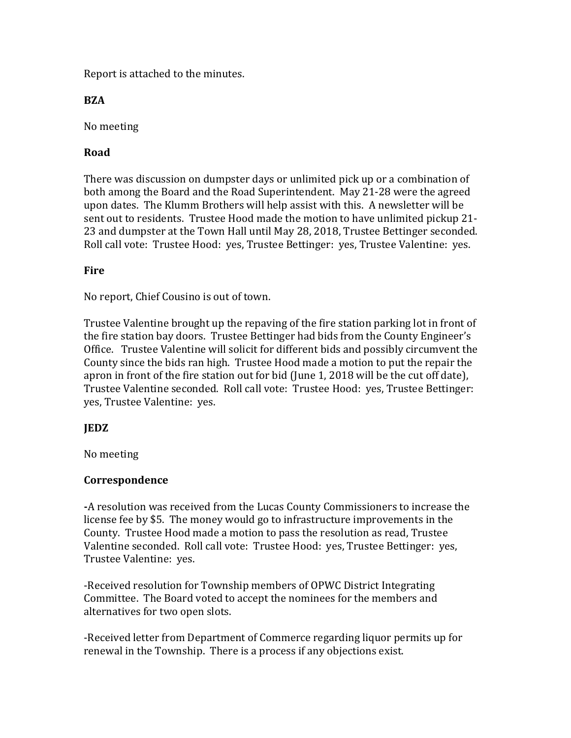Report is attached to the minutes.

## **BZA**

No meeting

# **Road**

There was discussion on dumpster days or unlimited pick up or a combination of both among the Board and the Road Superintendent. May 21-28 were the agreed upon dates. The Klumm Brothers will help assist with this. A newsletter will be sent out to residents. Trustee Hood made the motion to have unlimited pickup 21- 23 and dumpster at the Town Hall until May 28, 2018, Trustee Bettinger seconded. Roll call vote: Trustee Hood: yes, Trustee Bettinger: yes, Trustee Valentine: yes.

## **Fire**

No report, Chief Cousino is out of town.

Trustee Valentine brought up the repaving of the fire station parking lot in front of the fire station bay doors. Trustee Bettinger had bids from the County Engineer's Office. Trustee Valentine will solicit for different bids and possibly circumvent the County since the bids ran high. Trustee Hood made a motion to put the repair the apron in front of the fire station out for bid (June 1, 2018 will be the cut off date), Trustee Valentine seconded. Roll call vote: Trustee Hood: yes, Trustee Bettinger: yes, Trustee Valentine: yes.

## **JEDZ**

No meeting

#### **Correspondence**

**-**A resolution was received from the Lucas County Commissioners to increase the license fee by \$5. The money would go to infrastructure improvements in the County. Trustee Hood made a motion to pass the resolution as read, Trustee Valentine seconded. Roll call vote: Trustee Hood: yes, Trustee Bettinger: yes, Trustee Valentine: yes.

-Received resolution for Township members of OPWC District Integrating Committee. The Board voted to accept the nominees for the members and alternatives for two open slots.

-Received letter from Department of Commerce regarding liquor permits up for renewal in the Township. There is a process if any objections exist.